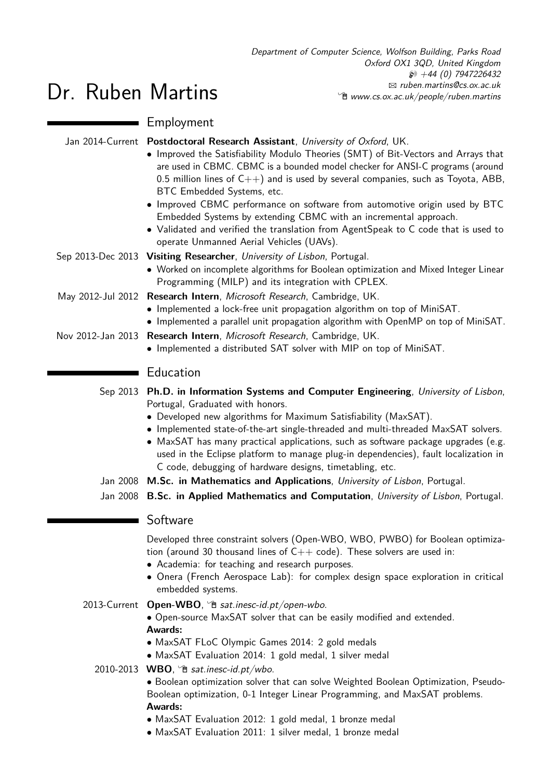|                   | Employment                                                                                                                                                                                                                                                                                                                                                                                                                                                                                                                                                                                                                                                     |  |
|-------------------|----------------------------------------------------------------------------------------------------------------------------------------------------------------------------------------------------------------------------------------------------------------------------------------------------------------------------------------------------------------------------------------------------------------------------------------------------------------------------------------------------------------------------------------------------------------------------------------------------------------------------------------------------------------|--|
|                   | Jan 2014-Current Postdoctoral Research Assistant, University of Oxford, UK.<br>• Improved the Satisfiability Modulo Theories (SMT) of Bit-Vectors and Arrays that<br>are used in CBMC. CBMC is a bounded model checker for ANSI-C programs (around<br>0.5 million lines of $C_{++}$ ) and is used by several companies, such as Toyota, ABB,<br>BTC Embedded Systems, etc.<br>• Improved CBMC performance on software from automotive origin used by BTC<br>Embedded Systems by extending CBMC with an incremental approach.<br>• Validated and verified the translation from AgentSpeak to C code that is used to<br>operate Unmanned Aerial Vehicles (UAVs). |  |
|                   | Sep 2013-Dec 2013 Visiting Researcher, University of Lisbon, Portugal.<br>• Worked on incomplete algorithms for Boolean optimization and Mixed Integer Linear<br>Programming (MILP) and its integration with CPLEX.                                                                                                                                                                                                                                                                                                                                                                                                                                            |  |
|                   | May 2012-Jul 2012 Research Intern, Microsoft Research, Cambridge, UK.<br>• Implemented a lock-free unit propagation algorithm on top of MiniSAT.<br>• Implemented a parallel unit propagation algorithm with OpenMP on top of MiniSAT.                                                                                                                                                                                                                                                                                                                                                                                                                         |  |
| Nov 2012-Jan 2013 | Research Intern, Microsoft Research, Cambridge, UK.<br>• Implemented a distributed SAT solver with MIP on top of MiniSAT.                                                                                                                                                                                                                                                                                                                                                                                                                                                                                                                                      |  |
|                   | Education                                                                                                                                                                                                                                                                                                                                                                                                                                                                                                                                                                                                                                                      |  |
|                   | Sep 2013 Ph.D. in Information Systems and Computer Engineering, University of Lisbon,<br>Portugal, Graduated with honors.<br>• Developed new algorithms for Maximum Satisfiability (MaxSAT).<br>• Implemented state-of-the-art single-threaded and multi-threaded MaxSAT solvers.<br>• MaxSAT has many practical applications, such as software package upgrades (e.g.<br>used in the Eclipse platform to manage plug-in dependencies), fault localization in<br>C code, debugging of hardware designs, timetabling, etc.                                                                                                                                      |  |
|                   | Jan 2008 M.Sc. in Mathematics and Applications, University of Lisbon, Portugal.                                                                                                                                                                                                                                                                                                                                                                                                                                                                                                                                                                                |  |
|                   | Jan 2008 B.Sc. in Applied Mathematics and Computation, University of Lisbon, Portugal.                                                                                                                                                                                                                                                                                                                                                                                                                                                                                                                                                                         |  |
|                   | Software                                                                                                                                                                                                                                                                                                                                                                                                                                                                                                                                                                                                                                                       |  |
|                   | Developed three constraint solvers (Open-WBO, WBO, PWBO) for Boolean optimiza-<br>tion (around 30 thousand lines of $C++$ code). These solvers are used in:<br>• Academia: for teaching and research purposes.<br>• Onera (French Aerospace Lab): for complex design space exploration in critical                                                                                                                                                                                                                                                                                                                                                             |  |
|                   | embedded systems.                                                                                                                                                                                                                                                                                                                                                                                                                                                                                                                                                                                                                                              |  |
|                   | 2013-Current Open-WBO, <sup>n</sup> sat.inesc-id.pt/open-wbo.<br>• Open-source MaxSAT solver that can be easily modified and extended.<br><b>Awards:</b>                                                                                                                                                                                                                                                                                                                                                                                                                                                                                                       |  |
|                   | • MaxSAT FLoC Olympic Games 2014: 2 gold medals                                                                                                                                                                                                                                                                                                                                                                                                                                                                                                                                                                                                                |  |
|                   | • MaxSAT Evaluation 2014: 1 gold medal, 1 silver medal<br>2010-2013 WBO, $\hat{B}$ sat.inesc-id.pt/wbo.                                                                                                                                                                                                                                                                                                                                                                                                                                                                                                                                                        |  |
|                   | . Boolean optimization solver that can solve Weighted Boolean Optimization, Pseudo-<br>Boolean optimization, 0-1 Integer Linear Programming, and MaxSAT problems.<br><b>Awards:</b>                                                                                                                                                                                                                                                                                                                                                                                                                                                                            |  |
|                   | • MaxSAT Evaluation 2012: 1 gold medal, 1 bronze medal<br>• MaxSAT Evaluation 2011: 1 silver medal, 1 bronze medal                                                                                                                                                                                                                                                                                                                                                                                                                                                                                                                                             |  |

Dr. Ruben Martins